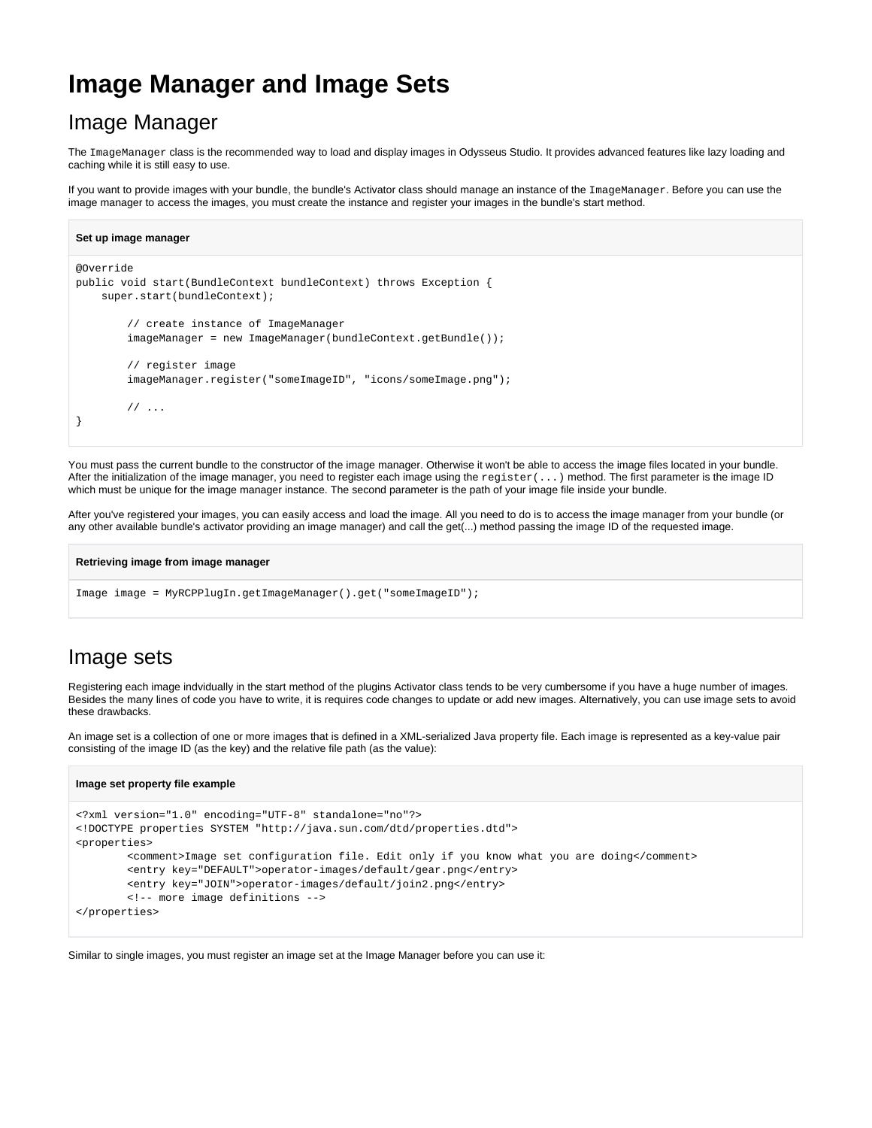# **Image Manager and Image Sets**

## Image Manager

The ImageManager class is the recommended way to load and display images in Odysseus Studio. It provides advanced features like lazy loading and caching while it is still easy to use.

If you want to provide images with your bundle, the bundle's Activator class should manage an instance of the ImageManager. Before you can use the image manager to access the images, you must create the instance and register your images in the bundle's start method.

```
Set up image manager
@Override
public void start(BundleContext bundleContext) throws Exception {
     super.start(bundleContext);
         // create instance of ImageManager
         imageManager = new ImageManager(bundleContext.getBundle());
         // register image
         imageManager.register("someImageID", "icons/someImage.png");
         // ...
}
```
You must pass the current bundle to the constructor of the image manager. Otherwise it won't be able to access the image files located in your bundle. After the initialization of the image manager, you need to register each image using the register(...) method. The first parameter is the image ID which must be unique for the image manager instance. The second parameter is the path of your image file inside your bundle.

After you've registered your images, you can easily access and load the image. All you need to do is to access the image manager from your bundle (or any other available bundle's activator providing an image manager) and call the get(...) method passing the image ID of the requested image.

```
Retrieving image from image manager
```

```
Image image = MyRCPPlugIn.getImageManager().get("someImageID");
```
### Image sets

Registering each image indvidually in the start method of the plugins Activator class tends to be very cumbersome if you have a huge number of images. Besides the many lines of code you have to write, it is requires code changes to update or add new images. Alternatively, you can use image sets to avoid these drawbacks.

An image set is a collection of one or more images that is defined in a XML-serialized Java property file. Each image is represented as a key-value pair consisting of the image ID (as the key) and the relative file path (as the value):

#### **Image set property file example**

```
<?xml version="1.0" encoding="UTF-8" standalone="no"?>
<!DOCTYPE properties SYSTEM "http://java.sun.com/dtd/properties.dtd">
<properties>
         <comment>Image set configuration file. Edit only if you know what you are doing</comment>
         <entry key="DEFAULT">operator-images/default/gear.png</entry>
         <entry key="JOIN">operator-images/default/join2.png</entry>
         <!-- more image definitions -->
</properties>
```
Similar to single images, you must register an image set at the Image Manager before you can use it: